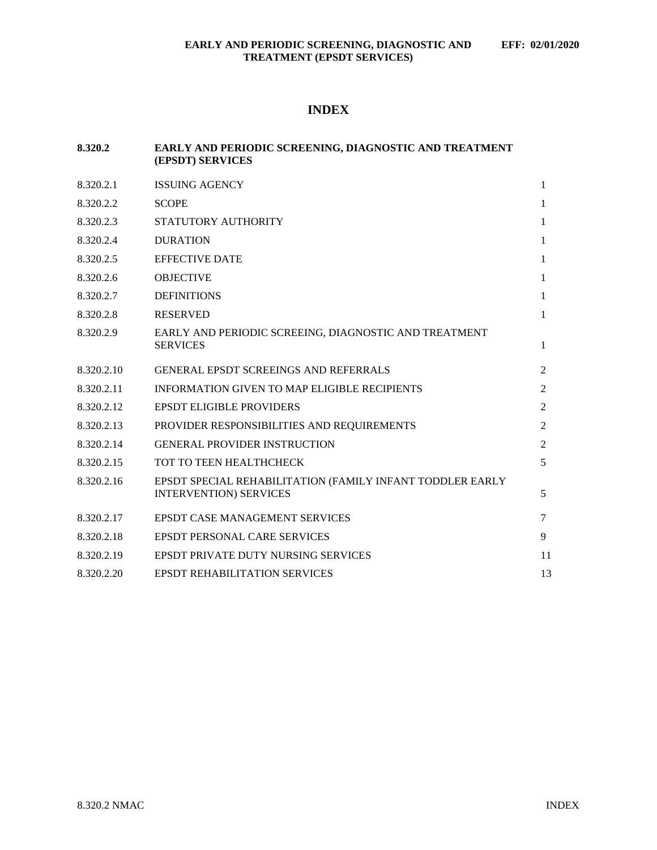# **INDEX**

| 8.320.2    | EARLY AND PERIODIC SCREENING, DIAGNOSTIC AND TREATMENT<br>(EPSDT) SERVICES                 |                |
|------------|--------------------------------------------------------------------------------------------|----------------|
| 8.320.2.1  | <b>ISSUING AGENCY</b>                                                                      | $\mathbf{1}$   |
| 8.320.2.2  | <b>SCOPE</b>                                                                               | $\mathbf{1}$   |
| 8.320.2.3  | STATUTORY AUTHORITY                                                                        | 1              |
| 8.320.2.4  | <b>DURATION</b>                                                                            | $\mathbf{1}$   |
| 8.320.2.5  | <b>EFFECTIVE DATE</b>                                                                      | $\mathbf{1}$   |
| 8.320.2.6  | <b>OBJECTIVE</b>                                                                           | $\mathbf{1}$   |
| 8.320.2.7  | <b>DEFINITIONS</b>                                                                         | 1              |
| 8.320.2.8  | <b>RESERVED</b>                                                                            | $\mathbf{1}$   |
| 8.320.2.9  | EARLY AND PERIODIC SCREEING, DIAGNOSTIC AND TREATMENT<br><b>SERVICES</b>                   | 1              |
| 8.320.2.10 | <b>GENERAL EPSDT SCREEINGS AND REFERRALS</b>                                               | 2              |
| 8.320.2.11 | <b>INFORMATION GIVEN TO MAP ELIGIBLE RECIPIENTS</b>                                        | $\overline{2}$ |
| 8.320.2.12 | <b>EPSDT ELIGIBLE PROVIDERS</b>                                                            | 2              |
| 8.320.2.13 | PROVIDER RESPONSIBILITIES AND REQUIREMENTS                                                 | 2              |
| 8.320.2.14 | <b>GENERAL PROVIDER INSTRUCTION</b>                                                        | 2              |
| 8.320.2.15 | TOT TO TEEN HEALTHCHECK                                                                    | 5              |
| 8.320.2.16 | EPSDT SPECIAL REHABILITATION (FAMILY INFANT TODDLER EARLY<br><b>INTERVENTION) SERVICES</b> | 5              |
| 8.320.2.17 | <b>EPSDT CASE MANAGEMENT SERVICES</b>                                                      | $\tau$         |
| 8.320.2.18 | <b>EPSDT PERSONAL CARE SERVICES</b>                                                        | 9              |
| 8.320.2.19 | EPSDT PRIVATE DUTY NURSING SERVICES                                                        | 11             |
| 8.320.2.20 | <b>EPSDT REHABILITATION SERVICES</b>                                                       | 13             |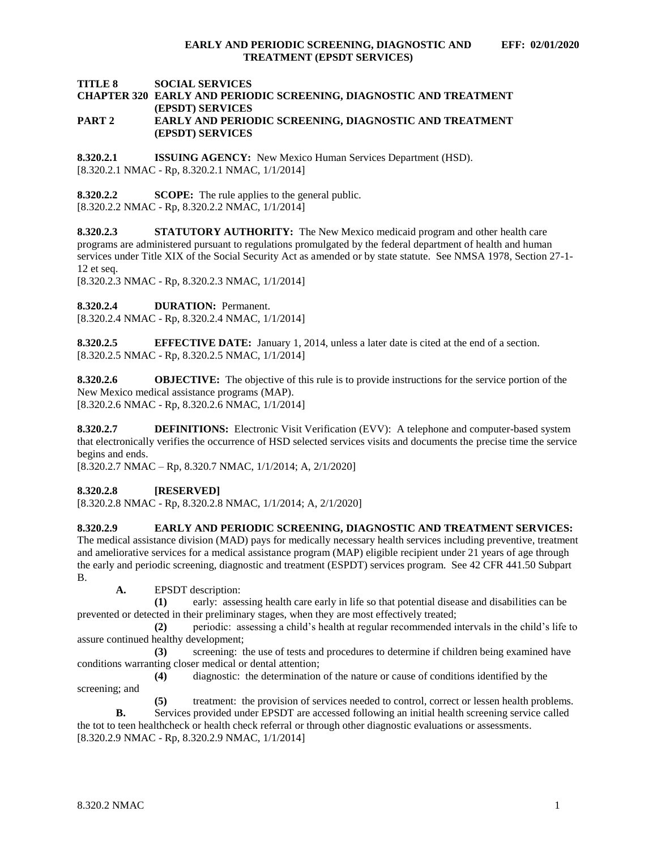<span id="page-1-9"></span>**TITLE 8 SOCIAL SERVICES**

### **CHAPTER 320 EARLY AND PERIODIC SCREENING, DIAGNOSTIC AND TREATMENT (EPSDT) SERVICES PART 2 EARLY AND PERIODIC SCREENING, DIAGNOSTIC AND TREATMENT (EPSDT) SERVICES**

<span id="page-1-0"></span>**8.320.2.1 ISSUING AGENCY:** New Mexico Human Services Department (HSD). [8.320.2.1 NMAC - Rp, 8.320.2.1 NMAC, 1/1/2014]

<span id="page-1-1"></span>**8.320.2.2 SCOPE:** The rule applies to the general public. [8.320.2.2 NMAC - Rp, 8.320.2.2 NMAC, 1/1/2014]

<span id="page-1-2"></span>**8.320.2.3 STATUTORY AUTHORITY:** The New Mexico medicaid program and other health care programs are administered pursuant to regulations promulgated by the federal department of health and human services under Title XIX of the Social Security Act as amended or by state statute. See NMSA 1978, Section 27-1- 12 et seq.

[8.320.2.3 NMAC - Rp, 8.320.2.3 NMAC, 1/1/2014]

<span id="page-1-3"></span>**8.320.2.4 DURATION:** Permanent.

[8.320.2.4 NMAC - Rp, 8.320.2.4 NMAC, 1/1/2014]

<span id="page-1-4"></span>**8.320.2.5 EFFECTIVE DATE:** January 1, 2014, unless a later date is cited at the end of a section. [8.320.2.5 NMAC - Rp, 8.320.2.5 NMAC, 1/1/2014]

<span id="page-1-5"></span>**8.320.2.6 OBJECTIVE:** The objective of this rule is to provide instructions for the service portion of the New Mexico medical assistance programs (MAP). [8.320.2.6 NMAC - Rp, 8.320.2.6 NMAC, 1/1/2014]

<span id="page-1-6"></span>**8.320.2.7 DEFINITIONS:** Electronic Visit Verification (EVV): A telephone and computer-based system that electronically verifies the occurrence of HSD selected services visits and documents the precise time the service begins and ends.

[8.320.2.7 NMAC – Rp, 8.320.7 NMAC, 1/1/2014; A, 2/1/2020]

### <span id="page-1-7"></span>**8.320.2.8 [RESERVED]**

[8.320.2.8 NMAC - Rp, 8.320.2.8 NMAC, 1/1/2014; A, 2/1/2020]

<span id="page-1-8"></span>**8.320.2.9 EARLY AND PERIODIC SCREENING, DIAGNOSTIC AND TREATMENT SERVICES:** The medical assistance division (MAD) pays for medically necessary health services including preventive, treatment and ameliorative services for a medical assistance program (MAP) eligible recipient under 21 years of age through the early and periodic screening, diagnostic and treatment (ESPDT) services program. See 42 CFR 441.50 Subpart B.

**A.** EPSDT description:

**(1)** early: assessing health care early in life so that potential disease and disabilities can be prevented or detected in their preliminary stages, when they are most effectively treated;

**(2)** periodic: assessing a child's health at regular recommended intervals in the child's life to assure continued healthy development;

**(3)** screening: the use of tests and procedures to determine if children being examined have conditions warranting closer medical or dental attention;

**(4)** diagnostic: the determination of the nature or cause of conditions identified by the screening; and

**(5)** treatment: the provision of services needed to control, correct or lessen health problems. **B.** Services provided under EPSDT are accessed following an initial health screening service called the tot to teen healthcheck or health check referral or through other diagnostic evaluations or assessments.

[8.320.2.9 NMAC - Rp, 8.320.2.9 NMAC, 1/1/2014]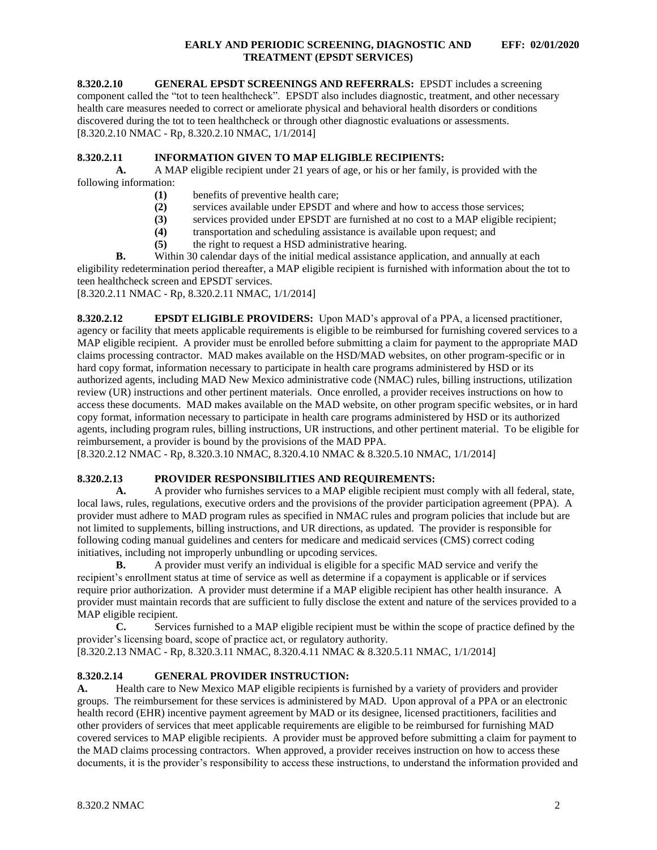**8.320.2.10 GENERAL EPSDT SCREENINGS AND REFERRALS:** EPSDT includes a screening component called the "tot to teen healthcheck". EPSDT also includes diagnostic, treatment, and other necessary health care measures needed to correct or ameliorate physical and behavioral health disorders or conditions discovered during the tot to teen healthcheck or through other diagnostic evaluations or assessments. [8.320.2.10 NMAC - Rp, 8.320.2.10 NMAC, 1/1/2014]

### <span id="page-2-0"></span>**8.320.2.11 INFORMATION GIVEN TO MAP ELIGIBLE RECIPIENTS:**

**A.** A MAP eligible recipient under 21 years of age, or his or her family, is provided with the following information:

- **(1)** benefits of preventive health care;
- **(2)** services available under EPSDT and where and how to access those services;
- **(3)** services provided under EPSDT are furnished at no cost to a MAP eligible recipient;
- **(4)** transportation and scheduling assistance is available upon request; and
- **(5)** the right to request a HSD administrative hearing.

**B.** Within 30 calendar days of the initial medical assistance application, and annually at each eligibility redetermination period thereafter, a MAP eligible recipient is furnished with information about the tot to teen healthcheck screen and EPSDT services.

[8.320.2.11 NMAC - Rp, 8.320.2.11 NMAC, 1/1/2014]

<span id="page-2-1"></span>**8.320.2.12 EPSDT ELIGIBLE PROVIDERS:** Upon MAD's approval of a PPA, a licensed practitioner, agency or facility that meets applicable requirements is eligible to be reimbursed for furnishing covered services to a MAP eligible recipient. A provider must be enrolled before submitting a claim for payment to the appropriate MAD claims processing contractor. MAD makes available on the HSD/MAD websites, on other program-specific or in hard copy format, information necessary to participate in health care programs administered by HSD or its authorized agents, including MAD New Mexico administrative code (NMAC) rules, billing instructions, utilization review (UR) instructions and other pertinent materials. Once enrolled, a provider receives instructions on how to access these documents. MAD makes available on the MAD website, on other program specific websites, or in hard copy format, information necessary to participate in health care programs administered by HSD or its authorized agents, including program rules, billing instructions, UR instructions, and other pertinent material. To be eligible for reimbursement, a provider is bound by the provisions of the MAD PPA.

[8.320.2.12 NMAC - Rp, 8.320.3.10 NMAC, 8.320.4.10 NMAC & 8.320.5.10 NMAC, 1/1/2014]

### <span id="page-2-2"></span>**8.320.2.13 PROVIDER RESPONSIBILITIES AND REQUIREMENTS:**

**A.** A provider who furnishes services to a MAP eligible recipient must comply with all federal, state, local laws, rules, regulations, executive orders and the provisions of the provider participation agreement (PPA). A provider must adhere to MAD program rules as specified in NMAC rules and program policies that include but are not limited to supplements, billing instructions, and UR directions, as updated. The provider is responsible for following coding manual guidelines and centers for medicare and medicaid services (CMS) correct coding initiatives, including not improperly unbundling or upcoding services.

**B.** A provider must verify an individual is eligible for a specific MAD service and verify the recipient's enrollment status at time of service as well as determine if a copayment is applicable or if services require prior authorization. A provider must determine if a MAP eligible recipient has other health insurance. A provider must maintain records that are sufficient to fully disclose the extent and nature of the services provided to a MAP eligible recipient.

**C.** Services furnished to a MAP eligible recipient must be within the scope of practice defined by the provider's licensing board, scope of practice act, or regulatory authority.

[8.320.2.13 NMAC - Rp, 8.320.3.11 NMAC, 8.320.4.11 NMAC & 8.320.5.11 NMAC, 1/1/2014]

## <span id="page-2-3"></span>**8.320.2.14 GENERAL PROVIDER INSTRUCTION:**

A. Health care to New Mexico MAP eligible recipients is furnished by a variety of providers and provider groups. The reimbursement for these services is administered by MAD. Upon approval of a PPA or an electronic health record (EHR) incentive payment agreement by MAD or its designee, licensed practitioners, facilities and other providers of services that meet applicable requirements are eligible to be reimbursed for furnishing MAD covered services to MAP eligible recipients. A provider must be approved before submitting a claim for payment to the MAD claims processing contractors. When approved, a provider receives instruction on how to access these documents, it is the provider's responsibility to access these instructions, to understand the information provided and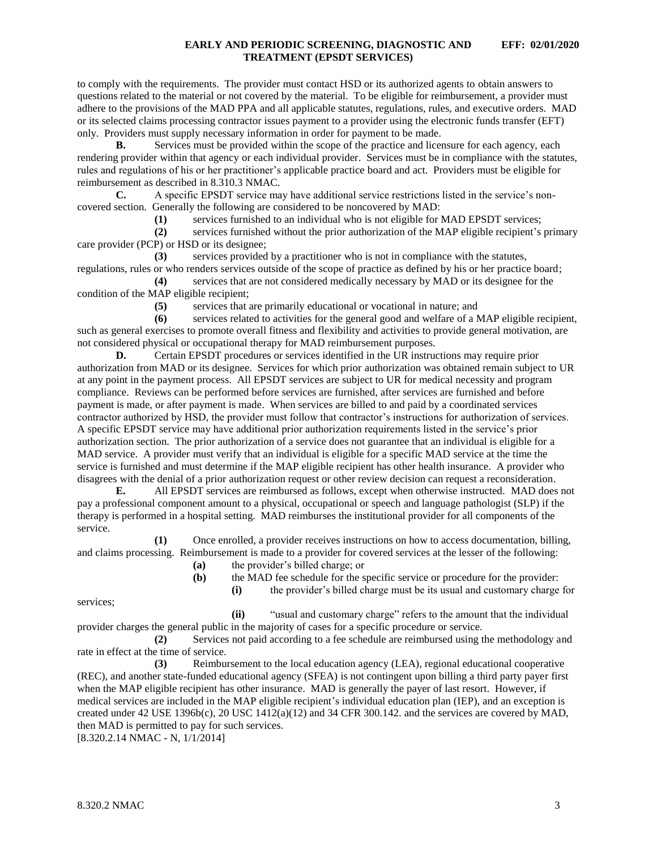<span id="page-3-0"></span>to comply with the requirements. The provider must contact HSD or its authorized agents to obtain answers to questions related to the material or not covered by the material. To be eligible for reimbursement, a provider must adhere to the provisions of the MAD PPA and all applicable statutes, regulations, rules, and executive orders. MAD or its selected claims processing contractor issues payment to a provider using the electronic funds transfer (EFT) only. Providers must supply necessary information in order for payment to be made.

**B.** Services must be provided within the scope of the practice and licensure for each agency, each rendering provider within that agency or each individual provider. Services must be in compliance with the statutes, rules and regulations of his or her practitioner's applicable practice board and act. Providers must be eligible for reimbursement as described in 8.310.3 NMAC.

**C.** A specific EPSDT service may have additional service restrictions listed in the service's noncovered section. Generally the following are considered to be noncovered by MAD:

**(1)** services furnished to an individual who is not eligible for MAD EPSDT services;

**(2)** services furnished without the prior authorization of the MAP eligible recipient's primary care provider (PCP) or HSD or its designee;

**(3)** services provided by a practitioner who is not in compliance with the statutes, regulations, rules or who renders services outside of the scope of practice as defined by his or her practice board;

**(4)** services that are not considered medically necessary by MAD or its designee for the condition of the MAP eligible recipient;

**(5)** services that are primarily educational or vocational in nature; and

**(6)** services related to activities for the general good and welfare of a MAP eligible recipient, such as general exercises to promote overall fitness and flexibility and activities to provide general motivation, are not considered physical or occupational therapy for MAD reimbursement purposes.

**D.** Certain EPSDT procedures or services identified in the UR instructions may require prior authorization from MAD or its designee. Services for which prior authorization was obtained remain subject to UR at any point in the payment process. All EPSDT services are subject to UR for medical necessity and program compliance. Reviews can be performed before services are furnished, after services are furnished and before payment is made, or after payment is made.When services are billed to and paid by a coordinated services contractor authorized by HSD, the provider must follow that contractor's instructions for authorization of services. A specific EPSDT service may have additional prior authorization requirements listed in the service's prior authorization section. The prior authorization of a service does not guarantee that an individual is eligible for a MAD service. A provider must verify that an individual is eligible for a specific MAD service at the time the service is furnished and must determine if the MAP eligible recipient has other health insurance. A provider who disagrees with the denial of a prior authorization request or other review decision can request a reconsideration.

**E.** All EPSDT services are reimbursed as follows, except when otherwise instructed. MAD does not pay a professional component amount to a physical, occupational or speech and language pathologist (SLP) if the therapy is performed in a hospital setting. MAD reimburses the institutional provider for all components of the service.

**(1)** Once enrolled, a provider receives instructions on how to access documentation, billing, and claims processing. Reimbursement is made to a provider for covered services at the lesser of the following:

**(a)** the provider's billed charge; or

**(b)** the MAD fee schedule for the specific service or procedure for the provider:

services;

**(i)** the provider's billed charge must be its usual and customary charge for

**(ii)** "usual and customary charge" refers to the amount that the individual provider charges the general public in the majority of cases for a specific procedure or service.

**(2)** Services not paid according to a fee schedule are reimbursed using the methodology and rate in effect at the time of service.

**(3)** Reimbursement to the local education agency (LEA), regional educational cooperative (REC), and another state-funded educational agency (SFEA) is not contingent upon billing a third party payer first when the MAP eligible recipient has other insurance. MAD is generally the payer of last resort. However, if medical services are included in the MAP eligible recipient's individual education plan (IEP), and an exception is created under 42 USE 1396b(c), 20 USC 1412(a)(12) and 34 CFR 300.142. and the services are covered by MAD, then MAD is permitted to pay for such services.

[8.320.2.14 NMAC - N, 1/1/2014]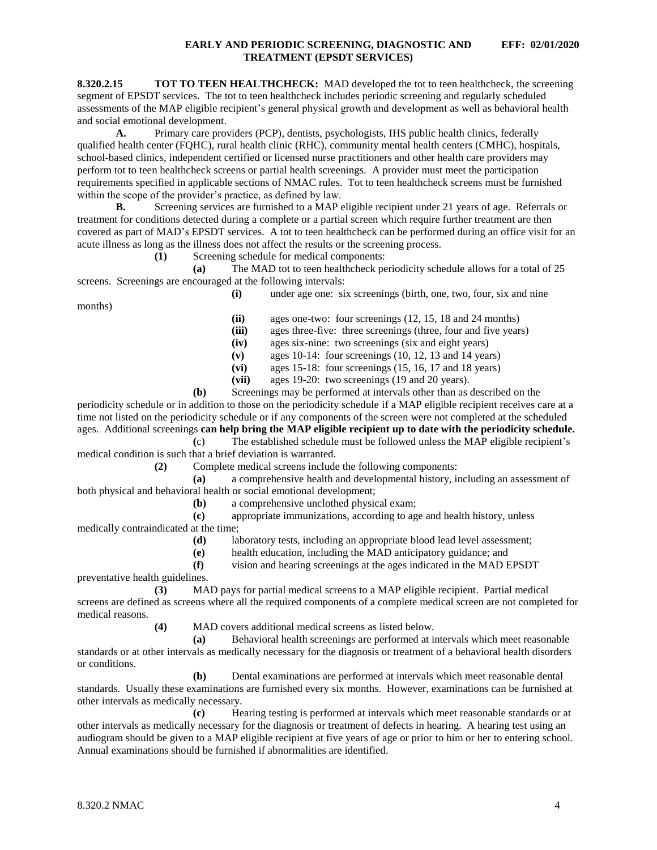**8.320.2.15 TOT TO TEEN HEALTHCHECK:** MAD developed the tot to teen healthcheck, the screening segment of EPSDT services. The tot to teen healthcheck includes periodic screening and regularly scheduled assessments of the MAP eligible recipient's general physical growth and development as well as behavioral health and social emotional development.

**A.** Primary care providers (PCP), dentists, psychologists, IHS public health clinics, federally qualified health center (FQHC), rural health clinic (RHC), community mental health centers (CMHC), hospitals, school-based clinics, independent certified or licensed nurse practitioners and other health care providers may perform tot to teen healthcheck screens or partial health screenings. A provider must meet the participation requirements specified in applicable sections of NMAC rules. Tot to teen healthcheck screens must be furnished within the scope of the provider's practice, as defined by law.

**B.** Screening services are furnished to a MAP eligible recipient under 21 years of age. Referrals or treatment for conditions detected during a complete or a partial screen which require further treatment are then covered as part of MAD's EPSDT services. A tot to teen healthcheck can be performed during an office visit for an acute illness as long as the illness does not affect the results or the screening process.

**(1)** Screening schedule for medical components:

**(a)** The MAD tot to teen healthcheck periodicity schedule allows for a total of 25 screens. Screenings are encouraged at the following intervals:

**(i)** under age one: six screenings (birth, one, two, four, six and nine

months)

- **(ii)** ages one-two: four screenings (12, 15, 18 and 24 months)
- **(iii)** ages three-five: three screenings (three, four and five years)

**(iv)** ages six-nine: two screenings (six and eight years)

- **(v)** ages 10-14: four screenings (10, 12, 13 and 14 years)
- **(vi)** ages 15-18: four screenings (15, 16, 17 and 18 years)
- **(vii)** ages 19-20: two screenings (19 and 20 years).

**(b)** Screenings may be performed at intervals other than as described on the periodicity schedule or in addition to those on the periodicity schedule if a MAP eligible recipient receives care at a time not listed on the periodicity schedule or if any components of the screen were not completed at the scheduled ages. Additional screenings **can help bring the MAP eligible recipient up to date with the periodicity schedule. (**c) The established schedule must be followed unless the MAP eligible recipient's

medical condition is such that a brief deviation is warranted.

**(2)** Complete medical screens include the following components:

**(a)** a comprehensive health and developmental history, including an assessment of both physical and behavioral health or social emotional development;

**(b)** a comprehensive unclothed physical exam;

**(c)** appropriate immunizations, according to age and health history, unless medically contraindicated at the time;

**(d)** laboratory tests, including an appropriate blood lead level assessment;

**(e)** health education, including the MAD anticipatory guidance; and

**(f)** vision and hearing screenings at the ages indicated in the MAD EPSDT

preventative health guidelines.

**(3)** MAD pays for partial medical screens to a MAP eligible recipient. Partial medical screens are defined as screens where all the required components of a complete medical screen are not completed for medical reasons.

**(4)** MAD covers additional medical screens as listed below.

**(a)** Behavioral health screenings are performed at intervals which meet reasonable standards or at other intervals as medically necessary for the diagnosis or treatment of a behavioral health disorders or conditions.

**(b)** Dental examinations are performed at intervals which meet reasonable dental standards. Usually these examinations are furnished every six months. However, examinations can be furnished at other intervals as medically necessary.

**(c)** Hearing testing is performed at intervals which meet reasonable standards or at other intervals as medically necessary for the diagnosis or treatment of defects in hearing. A hearing test using an audiogram should be given to a MAP eligible recipient at five years of age or prior to him or her to entering school. Annual examinations should be furnished if abnormalities are identified.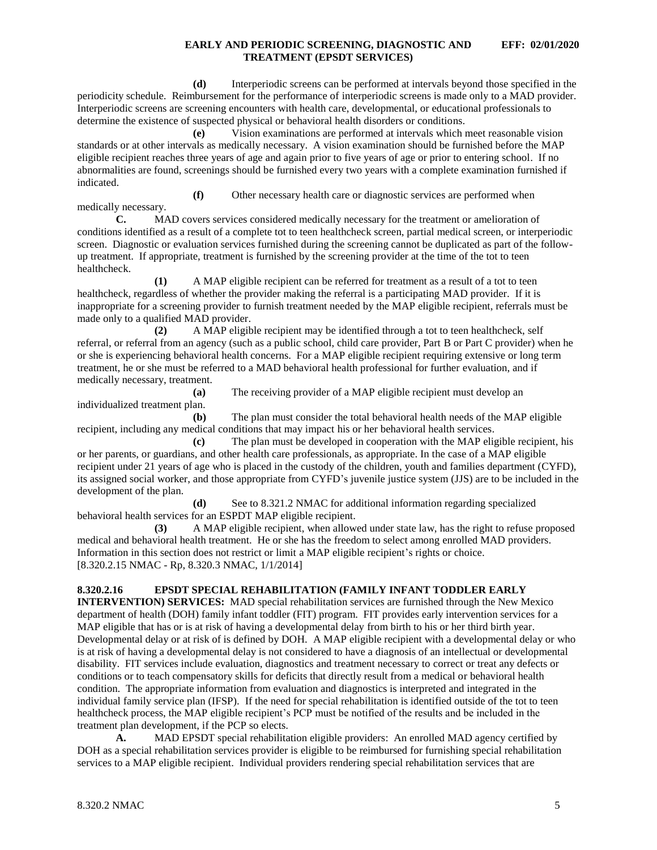**(d)** Interperiodic screens can be performed at intervals beyond those specified in the periodicity schedule. Reimbursement for the performance of interperiodic screens is made only to a MAD provider. Interperiodic screens are screening encounters with health care, developmental, or educational professionals to determine the existence of suspected physical or behavioral health disorders or conditions.

**(e)** Vision examinations are performed at intervals which meet reasonable vision standards or at other intervals as medically necessary. A vision examination should be furnished before the MAP eligible recipient reaches three years of age and again prior to five years of age or prior to entering school. If no abnormalities are found, screenings should be furnished every two years with a complete examination furnished if indicated.

**(f)** Other necessary health care or diagnostic services are performed when medically necessary.

**C.** MAD covers services considered medically necessary for the treatment or amelioration of conditions identified as a result of a complete tot to teen healthcheck screen, partial medical screen, or interperiodic screen. Diagnostic or evaluation services furnished during the screening cannot be duplicated as part of the followup treatment. If appropriate, treatment is furnished by the screening provider at the time of the tot to teen healthcheck.

**(1)** A MAP eligible recipient can be referred for treatment as a result of a tot to teen healthcheck, regardless of whether the provider making the referral is a participating MAD provider. If it is inappropriate for a screening provider to furnish treatment needed by the MAP eligible recipient, referrals must be made only to a qualified MAD provider.

**(2)** A MAP eligible recipient may be identified through a tot to teen healthcheck, self referral, or referral from an agency (such as a public school, child care provider, Part B or Part C provider) when he or she is experiencing behavioral health concerns. For a MAP eligible recipient requiring extensive or long term treatment, he or she must be referred to a MAD behavioral health professional for further evaluation, and if medically necessary, treatment.

**(a)** The receiving provider of a MAP eligible recipient must develop an individualized treatment plan.

**(b)** The plan must consider the total behavioral health needs of the MAP eligible recipient, including any medical conditions that may impact his or her behavioral health services.

**(c)** The plan must be developed in cooperation with the MAP eligible recipient, his or her parents, or guardians, and other health care professionals, as appropriate. In the case of a MAP eligible recipient under 21 years of age who is placed in the custody of the children, youth and families department (CYFD), its assigned social worker, and those appropriate from CYFD's juvenile justice system (JJS) are to be included in the development of the plan.

**(d)** See to 8.321.2 NMAC for additional information regarding specialized behavioral health services for an ESPDT MAP eligible recipient.

**(3)** A MAP eligible recipient, when allowed under state law, has the right to refuse proposed medical and behavioral health treatment. He or she has the freedom to select among enrolled MAD providers. Information in this section does not restrict or limit a MAP eligible recipient's rights or choice. [8.320.2.15 NMAC - Rp, 8.320.3 NMAC, 1/1/2014]

## <span id="page-5-0"></span>**8.320.2.16 EPSDT SPECIAL REHABILITATION (FAMILY INFANT TODDLER EARLY**

**INTERVENTION) SERVICES:** MAD special rehabilitation services are furnished through the New Mexico department of health (DOH) family infant toddler (FIT) program. FIT provides early intervention services for a MAP eligible that has or is at risk of having a developmental delay from birth to his or her third birth year. Developmental delay or at risk of is defined by DOH. A MAP eligible recipient with a developmental delay or who is at risk of having a developmental delay is not considered to have a diagnosis of an intellectual or developmental disability.FIT services include evaluation, diagnostics and treatment necessary to correct or treat any defects or conditions or to teach compensatory skills for deficits that directly result from a medical or behavioral health condition. The appropriate information from evaluation and diagnostics is interpreted and integrated in the individual family service plan (IFSP). If the need for special rehabilitation is identified outside of the tot to teen healthcheck process, the MAP eligible recipient's PCP must be notified of the results and be included in the treatment plan development, if the PCP so elects.

**A.** MAD EPSDT special rehabilitation eligible providers: An enrolled MAD agency certified by DOH as a special rehabilitation services provider is eligible to be reimbursed for furnishing special rehabilitation services to a MAP eligible recipient. Individual providers rendering special rehabilitation services that are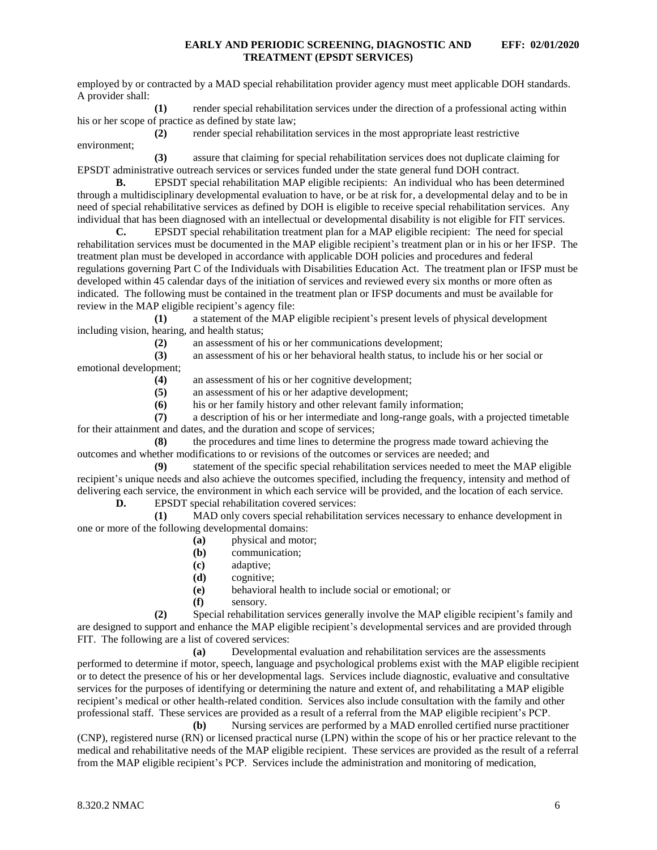employed by or contracted by a MAD special rehabilitation provider agency must meet applicable DOH standards. A provider shall:

**(1)** render special rehabilitation services under the direction of a professional acting within his or her scope of practice as defined by state law;

**(2)** render special rehabilitation services in the most appropriate least restrictive environment;

**(3)** assure that claiming for special rehabilitation services does not duplicate claiming for EPSDT administrative outreach services or services funded under the state general fund DOH contract.

**B.** EPSDT special rehabilitation MAP eligible recipients: An individual who has been determined through a multidisciplinary developmental evaluation to have, or be at risk for, a developmental delay and to be in need of special rehabilitative services as defined by DOH is eligible to receive special rehabilitation services. Any individual that has been diagnosed with an intellectual or developmental disability is not eligible for FIT services.

**C.** EPSDT special rehabilitation treatment plan for a MAP eligible recipient: The need for special rehabilitation services must be documented in the MAP eligible recipient's treatment plan or in his or her IFSP. The treatment plan must be developed in accordance with applicable DOH policies and procedures and federal regulations governing Part C of the Individuals with Disabilities Education Act. The treatment plan or IFSP must be developed within 45 calendar days of the initiation of services and reviewed every six months or more often as indicated. The following must be contained in the treatment plan or IFSP documents and must be available for review in the MAP eligible recipient's agency file:<br>(1) a statement of the MAP

**(1)** a statement of the MAP eligible recipient's present levels of physical development including vision, hearing, and health status;

**(2)** an assessment of his or her communications development;

**(3)** an assessment of his or her behavioral health status, to include his or her social or emotional development;

**(4)** an assessment of his or her cognitive development;

**(5)** an assessment of his or her adaptive development;

**(6)** his or her family history and other relevant family information;

**(7)** a description of his or her intermediate and long-range goals, with a projected timetable for their attainment and dates, and the duration and scope of services;

**(8)** the procedures and time lines to determine the progress made toward achieving the outcomes and whether modifications to or revisions of the outcomes or services are needed; and

**(9)** statement of the specific special rehabilitation services needed to meet the MAP eligible recipient's unique needs and also achieve the outcomes specified, including the frequency, intensity and method of delivering each service, the environment in which each service will be provided, and the location of each service.

**D.** EPSDT special rehabilitation covered services:

**(1)** MAD only covers special rehabilitation services necessary to enhance development in one or more of the following developmental domains:

- **(a)** physical and motor;
- **(b)** communication;
- **(c)** adaptive;
- **(d)** cognitive;
- **(e)** behavioral health to include social or emotional; or
- **(f)** sensory.

**(2)** Special rehabilitation services generally involve the MAP eligible recipient's family and are designed to support and enhance the MAP eligible recipient's developmental services and are provided through FIT. The following are a list of covered services:

**(a)** Developmental evaluation and rehabilitation services are the assessments performed to determine if motor, speech, language and psychological problems exist with the MAP eligible recipient or to detect the presence of his or her developmental lags. Services include diagnostic, evaluative and consultative services for the purposes of identifying or determining the nature and extent of, and rehabilitating a MAP eligible recipient's medical or other health-related condition. Services also include consultation with the family and other professional staff. These services are provided as a result of a referral from the MAP eligible recipient's PCP.

**(b)** Nursing services are performed by a MAD enrolled certified nurse practitioner (CNP), registered nurse (RN) or licensed practical nurse (LPN) within the scope of his or her practice relevant to the medical and rehabilitative needs of the MAP eligible recipient. These services are provided as the result of a referral from the MAP eligible recipient's PCP. Services include the administration and monitoring of medication,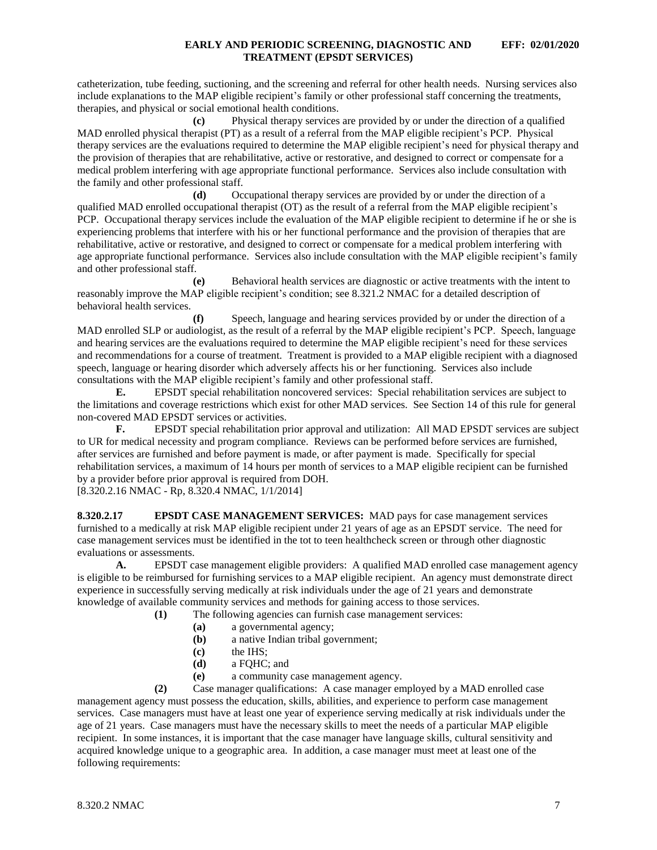catheterization, tube feeding, suctioning, and the screening and referral for other health needs. Nursing services also include explanations to the MAP eligible recipient's family or other professional staff concerning the treatments, therapies, and physical or social emotional health conditions.

**(c)** Physical therapy services are provided by or under the direction of a qualified MAD enrolled physical therapist (PT) as a result of a referral from the MAP eligible recipient's PCP. Physical therapy services are the evaluations required to determine the MAP eligible recipient's need for physical therapy and the provision of therapies that are rehabilitative, active or restorative, and designed to correct or compensate for a medical problem interfering with age appropriate functional performance. Services also include consultation with the family and other professional staff.

**(d)** Occupational therapy services are provided by or under the direction of a qualified MAD enrolled occupational therapist (OT) as the result of a referral from the MAP eligible recipient's PCP. Occupational therapy services include the evaluation of the MAP eligible recipient to determine if he or she is experiencing problems that interfere with his or her functional performance and the provision of therapies that are rehabilitative, active or restorative, and designed to correct or compensate for a medical problem interfering with age appropriate functional performance. Services also include consultation with the MAP eligible recipient's family and other professional staff.

**(e)** Behavioral health services are diagnostic or active treatments with the intent to reasonably improve the MAP eligible recipient's condition; see 8.321.2 NMAC for a detailed description of behavioral health services.

**(f)** Speech, language and hearing services provided by or under the direction of a MAD enrolled SLP or audiologist, as the result of a referral by the MAP eligible recipient's PCP. Speech, language and hearing services are the evaluations required to determine the MAP eligible recipient's need for these services and recommendations for a course of treatment. Treatment is provided to a MAP eligible recipient with a diagnosed speech, language or hearing disorder which adversely affects his or her functioning. Services also include consultations with the MAP eligible recipient's family and other professional staff.

**E.** EPSDT special rehabilitation noncovered services: Special rehabilitation services are subject to the limitations and coverage restrictions which exist for other MAD services. See Section 14 of this rule for general non-covered MAD EPSDT services or activities.

**F.** EPSDT special rehabilitation prior approval and utilization: All MAD EPSDT services are subject to UR for medical necessity and program compliance. Reviews can be performed before services are furnished, after services are furnished and before payment is made, or after payment is made. Specifically for special rehabilitation services, a maximum of 14 hours per month of services to a MAP eligible recipient can be furnished by a provider before prior approval is required from DOH. [8.320.2.16 NMAC - Rp, 8.320.4 NMAC, 1/1/2014]

<span id="page-7-0"></span>**8.320.2.17 EPSDT CASE MANAGEMENT SERVICES:** MAD pays for case management services furnished to a medically at risk MAP eligible recipient under 21 years of age as an EPSDT service. The need for case management services must be identified in the tot to teen healthcheck screen or through other diagnostic evaluations or assessments.

**A.** EPSDT case management eligible providers: A qualified MAD enrolled case management agency is eligible to be reimbursed for furnishing services to a MAP eligible recipient. An agency must demonstrate direct experience in successfully serving medically at risk individuals under the age of 21 years and demonstrate knowledge of available community services and methods for gaining access to those services.

**(1)** The following agencies can furnish case management services:

- **(a)** a governmental agency;
	- **(b)** a native Indian tribal government;
	- **(c)** the IHS;
	- **(d)** a FQHC; and
- **(e)** a community case management agency.

**(2)** Case manager qualifications: A case manager employed by a MAD enrolled case management agency must possess the education, skills, abilities, and experience to perform case management services. Case managers must have at least one year of experience serving medically at risk individuals under the age of 21 years. Case managers must have the necessary skills to meet the needs of a particular MAP eligible recipient. In some instances, it is important that the case manager have language skills, cultural sensitivity and acquired knowledge unique to a geographic area. In addition, a case manager must meet at least one of the following requirements: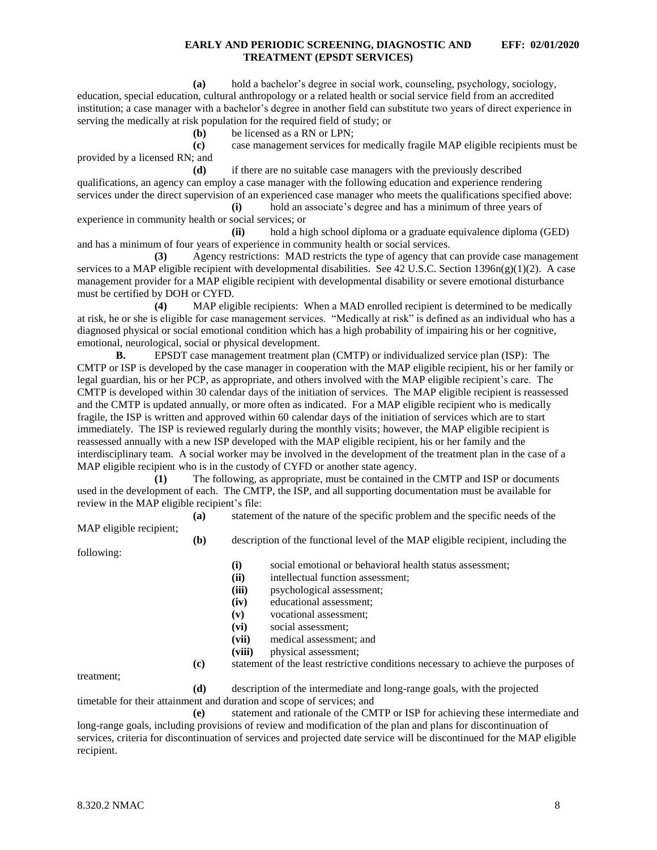**(a)** hold a bachelor's degree in social work, counseling, psychology, sociology, education, special education, cultural anthropology or a related health or social service field from an accredited institution; a case manager with a bachelor's degree in another field can substitute two years of direct experience in serving the medically at risk population for the required field of study; or

**(b)** be licensed as a RN or LPN;

**(c)** case management services for medically fragile MAP eligible recipients must be provided by a licensed RN; and

**(d)** if there are no suitable case managers with the previously described qualifications, an agency can employ a case manager with the following education and experience rendering services under the direct supervision of an experienced case manager who meets the qualifications specified above:

**(i)** hold an associate's degree and has a minimum of three years of experience in community health or social services; or

**(ii)** hold a high school diploma or a graduate equivalence diploma (GED) and has a minimum of four years of experience in community health or social services.

**(3)** Agency restrictions: MAD restricts the type of agency that can provide case management services to a MAP eligible recipient with developmental disabilities. See 42 U.S.C. Section  $1396n(g)(1)(2)$ . A case management provider for a MAP eligible recipient with developmental disability or severe emotional disturbance must be certified by DOH or CYFD.

**(4)** MAP eligible recipients: When a MAD enrolled recipient is determined to be medically at risk, he or she is eligible for case management services. "Medically at risk" is defined as an individual who has a diagnosed physical or social emotional condition which has a high probability of impairing his or her cognitive, emotional, neurological, social or physical development.

**B.** EPSDT case management treatment plan (CMTP) or individualized service plan (ISP): The CMTP or ISP is developed by the case manager in cooperation with the MAP eligible recipient, his or her family or legal guardian, his or her PCP, as appropriate, and others involved with the MAP eligible recipient's care. The CMTP is developed within 30 calendar days of the initiation of services. The MAP eligible recipient is reassessed and the CMTP is updated annually, or more often as indicated. For a MAP eligible recipient who is medically fragile, the ISP is written and approved within 60 calendar days of the initiation of services which are to start immediately. The ISP is reviewed regularly during the monthly visits; however, the MAP eligible recipient is reassessed annually with a new ISP developed with the MAP eligible recipient, his or her family and the interdisciplinary team. A social worker may be involved in the development of the treatment plan in the case of a MAP eligible recipient who is in the custody of CYFD or another state agency.

**(1)** The following, as appropriate, must be contained in the CMTP and ISP or documents used in the development of each. The CMTP, the ISP, and all supporting documentation must be available for review in the MAP eligible recipient's file:

**(a)** statement of the nature of the specific problem and the specific needs of the

MAP eligible recipient;

**(b)** description of the functional level of the MAP eligible recipient, including the

following:

- **(i)** social emotional or behavioral health status assessment;
- **(ii)** intellectual function assessment;
- **(iii)** psychological assessment;
- **(iv)** educational assessment;
- **(v)** vocational assessment;
- **(vi)** social assessment;
- **(vii)** medical assessment; and
- **(viii)** physical assessment;
- **(c)** statement of the least restrictive conditions necessary to achieve the purposes of

treatment;

**(d)** description of the intermediate and long-range goals, with the projected timetable for their attainment and duration and scope of services; and

**(e)** statement and rationale of the CMTP or ISP for achieving these intermediate and long-range goals, including provisions of review and modification of the plan and plans for discontinuation of services, criteria for discontinuation of services and projected date service will be discontinued for the MAP eligible recipient.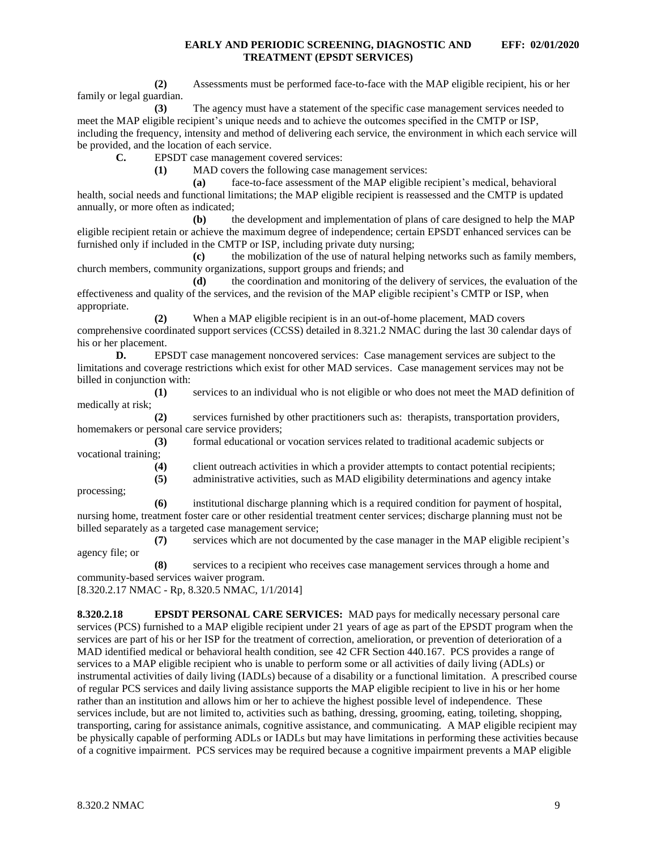**(2)** Assessments must be performed face-to-face with the MAP eligible recipient, his or her family or legal guardian.

**(3)** The agency must have a statement of the specific case management services needed to meet the MAP eligible recipient's unique needs and to achieve the outcomes specified in the CMTP or ISP, including the frequency, intensity and method of delivering each service, the environment in which each service will be provided, and the location of each service.

**C.** EPSDT case management covered services:

**(1)** MAD covers the following case management services:

**(a)** face-to-face assessment of the MAP eligible recipient's medical, behavioral health, social needs and functional limitations; the MAP eligible recipient is reassessed and the CMTP is updated annually, or more often as indicated;

**(b)** the development and implementation of plans of care designed to help the MAP eligible recipient retain or achieve the maximum degree of independence; certain EPSDT enhanced services can be furnished only if included in the CMTP or ISP, including private duty nursing;

**(c)** the mobilization of the use of natural helping networks such as family members, church members, community organizations, support groups and friends; and

**(d)** the coordination and monitoring of the delivery of services, the evaluation of the effectiveness and quality of the services, and the revision of the MAP eligible recipient's CMTP or ISP, when appropriate.

**(2)** When a MAP eligible recipient is in an out-of-home placement, MAD covers comprehensive coordinated support services (CCSS) detailed in 8.321.2 NMAC during the last 30 calendar days of his or her placement.

**D.** EPSDT case management noncovered services: Case management services are subject to the limitations and coverage restrictions which exist for other MAD services. Case management services may not be billed in conjunction with:

**(1)** services to an individual who is not eligible or who does not meet the MAD definition of medically at risk;

**(2)** services furnished by other practitioners such as: therapists, transportation providers, homemakers or personal care service providers;

**(3)** formal educational or vocation services related to traditional academic subjects or vocational training;

**(4)** client outreach activities in which a provider attempts to contact potential recipients;

**(5)** administrative activities, such as MAD eligibility determinations and agency intake

processing;

**(6)** institutional discharge planning which is a required condition for payment of hospital, nursing home, treatment foster care or other residential treatment center services; discharge planning must not be billed separately as a targeted case management service;

**(7)** services which are not documented by the case manager in the MAP eligible recipient's agency file; or

**(8)** services to a recipient who receives case management services through a home and community-based services waiver program.

[8.320.2.17 NMAC - Rp, 8.320.5 NMAC, 1/1/2014]

<span id="page-9-0"></span>**8.320.2.18 EPSDT PERSONAL CARE SERVICES:** MAD pays for medically necessary personal care services (PCS) furnished to a MAP eligible recipient under 21 years of age as part of the EPSDT program when the services are part of his or her ISP for the treatment of correction, amelioration, or prevention of deterioration of a MAD identified medical or behavioral health condition, see 42 CFR Section 440.167. PCS provides a range of services to a MAP eligible recipient who is unable to perform some or all activities of daily living (ADLs) or instrumental activities of daily living (IADLs) because of a disability or a functional limitation. A prescribed course of regular PCS services and daily living assistance supports the MAP eligible recipient to live in his or her home rather than an institution and allows him or her to achieve the highest possible level of independence. These services include, but are not limited to, activities such as bathing, dressing, grooming, eating, toileting, shopping, transporting, caring for assistance animals, cognitive assistance, and communicating. A MAP eligible recipient may be physically capable of performing ADLs or IADLs but may have limitations in performing these activities because of a cognitive impairment. PCS services may be required because a cognitive impairment prevents a MAP eligible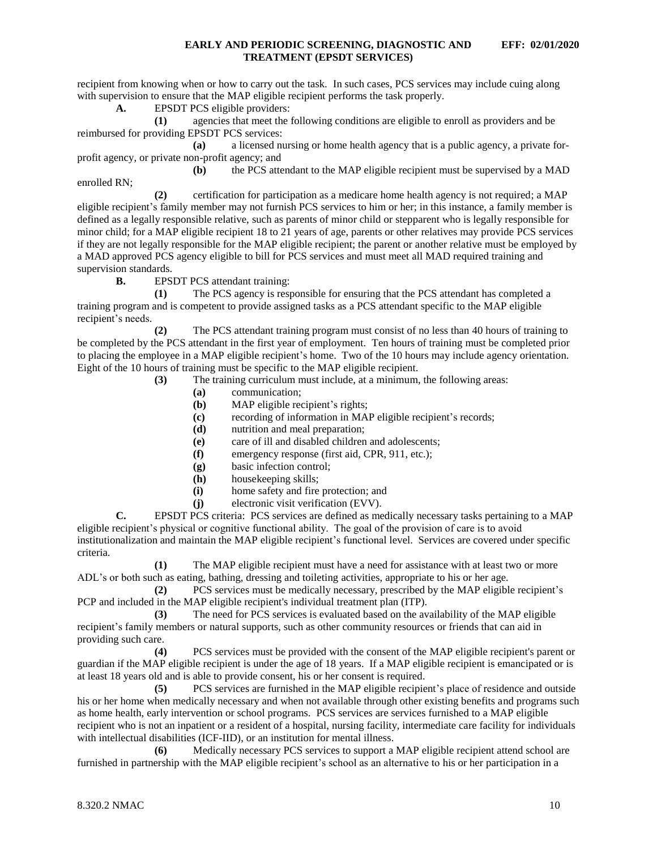recipient from knowing when or how to carry out the task. In such cases, PCS services may include cuing along with supervision to ensure that the MAP eligible recipient performs the task properly.

**A.** EPSDT PCS eligible providers:

**(1)** agencies that meet the following conditions are eligible to enroll as providers and be reimbursed for providing EPSDT PCS services:

**(a)** a licensed nursing or home health agency that is a public agency, a private forprofit agency, or private non-profit agency; and

**(b)** the PCS attendant to the MAP eligible recipient must be supervised by a MAD enrolled RN;

**(2)** certification for participation as a medicare home health agency is not required; a MAP eligible recipient's family member may not furnish PCS services to him or her; in this instance, a family member is defined as a legally responsible relative, such as parents of minor child or stepparent who is legally responsible for minor child; for a MAP eligible recipient 18 to 21 years of age, parents or other relatives may provide PCS services if they are not legally responsible for the MAP eligible recipient; the parent or another relative must be employed by a MAD approved PCS agency eligible to bill for PCS services and must meet all MAD required training and supervision standards.

**B.** EPSDT PCS attendant training:

**(1)** The PCS agency is responsible for ensuring that the PCS attendant has completed a training program and is competent to provide assigned tasks as a PCS attendant specific to the MAP eligible recipient's needs.

**(2)** The PCS attendant training program must consist of no less than 40 hours of training to be completed by the PCS attendant in the first year of employment. Ten hours of training must be completed prior to placing the employee in a MAP eligible recipient's home. Two of the 10 hours may include agency orientation. Eight of the 10 hours of training must be specific to the MAP eligible recipient.

- **(3)** The training curriculum must include, at a minimum, the following areas:
	- **(a)** communication;
	- **(b)** MAP eligible recipient's rights;
	- **(c)** recording of information in MAP eligible recipient's records;
	- **(d)** nutrition and meal preparation;
	- **(e)** care of ill and disabled children and adolescents;
	- **(f)** emergency response (first aid, CPR, 911, etc.);
	- **(g)** basic infection control;
	- **(h)** housekeeping skills;
	- **(i)** home safety and fire protection; and
	- **(j)** electronic visit verification (EVV).

**C.** EPSDT PCS criteria: PCS services are defined as medically necessary tasks pertaining to a MAP eligible recipient's physical or cognitive functional ability. The goal of the provision of care is to avoid institutionalization and maintain the MAP eligible recipient's functional level. Services are covered under specific criteria.

**(1)** The MAP eligible recipient must have a need for assistance with at least two or more ADL's or both such as eating, bathing, dressing and toileting activities, appropriate to his or her age.

**(2)** PCS services must be medically necessary, prescribed by the MAP eligible recipient's PCP and included in the MAP eligible recipient's individual treatment plan (ITP).

**(3)** The need for PCS services is evaluated based on the availability of the MAP eligible recipient's family members or natural supports, such as other community resources or friends that can aid in providing such care.

**(4)** PCS services must be provided with the consent of the MAP eligible recipient's parent or guardian if the MAP eligible recipient is under the age of 18 years. If a MAP eligible recipient is emancipated or is at least 18 years old and is able to provide consent, his or her consent is required.

**(5)** PCS services are furnished in the MAP eligible recipient's place of residence and outside his or her home when medically necessary and when not available through other existing benefits and programs such as home health, early intervention or school programs. PCS services are services furnished to a MAP eligible recipient who is not an inpatient or a resident of a hospital, nursing facility, intermediate care facility for individuals with intellectual disabilities (ICF-IID), or an institution for mental illness.

**(6)** Medically necessary PCS services to support a MAP eligible recipient attend school are furnished in partnership with the MAP eligible recipient's school as an alternative to his or her participation in a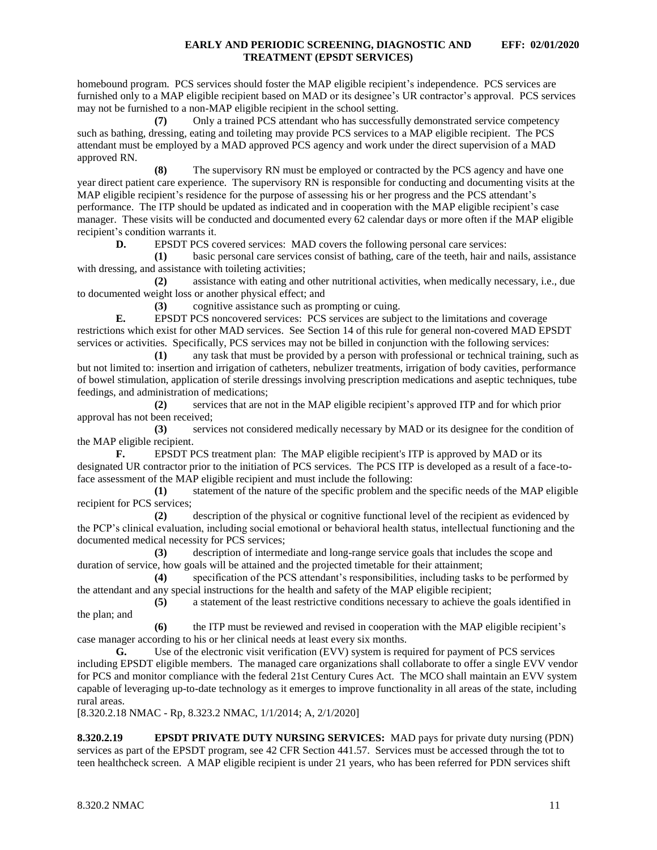homebound program. PCS services should foster the MAP eligible recipient's independence. PCS services are furnished only to a MAP eligible recipient based on MAD or its designee's UR contractor's approval. PCS services may not be furnished to a non-MAP eligible recipient in the school setting.

**(7)** Only a trained PCS attendant who has successfully demonstrated service competency such as bathing, dressing, eating and toileting may provide PCS services to a MAP eligible recipient. The PCS attendant must be employed by a MAD approved PCS agency and work under the direct supervision of a MAD approved RN.

**(8)** The supervisory RN must be employed or contracted by the PCS agency and have one year direct patient care experience. The supervisory RN is responsible for conducting and documenting visits at the MAP eligible recipient's residence for the purpose of assessing his or her progress and the PCS attendant's performance. The ITP should be updated as indicated and in cooperation with the MAP eligible recipient's case manager. These visits will be conducted and documented every 62 calendar days or more often if the MAP eligible recipient's condition warrants it.

**D.** EPSDT PCS covered services: MAD covers the following personal care services:

**(1)** basic personal care services consist of bathing, care of the teeth, hair and nails, assistance with dressing, and assistance with toileting activities;

**(2)** assistance with eating and other nutritional activities, when medically necessary, i.e., due to documented weight loss or another physical effect; and

**(3)** cognitive assistance such as prompting or cuing.

**E.** EPSDT PCS noncovered services: PCS services are subject to the limitations and coverage restrictions which exist for other MAD services. See Section 14 of this rule for general non-covered MAD EPSDT services or activities. Specifically, PCS services may not be billed in conjunction with the following services:

**(1)** any task that must be provided by a person with professional or technical training, such as but not limited to: insertion and irrigation of catheters, nebulizer treatments, irrigation of body cavities, performance of bowel stimulation, application of sterile dressings involving prescription medications and aseptic techniques, tube feedings, and administration of medications;

**(2)** services that are not in the MAP eligible recipient's approved ITP and for which prior approval has not been received;

**(3)** services not considered medically necessary by MAD or its designee for the condition of the MAP eligible recipient.

**F.** EPSDT PCS treatment plan: The MAP eligible recipient's ITP is approved by MAD or its designated UR contractor prior to the initiation of PCS services. The PCS ITP is developed as a result of a face-toface assessment of the MAP eligible recipient and must include the following:

**(1)** statement of the nature of the specific problem and the specific needs of the MAP eligible recipient for PCS services;

**(2)** description of the physical or cognitive functional level of the recipient as evidenced by the PCP's clinical evaluation, including social emotional or behavioral health status, intellectual functioning and the documented medical necessity for PCS services;

**(3)** description of intermediate and long-range service goals that includes the scope and duration of service, how goals will be attained and the projected timetable for their attainment;

**(4)** specification of the PCS attendant's responsibilities, including tasks to be performed by the attendant and any special instructions for the health and safety of the MAP eligible recipient;

**(5)** a statement of the least restrictive conditions necessary to achieve the goals identified in the plan; and

**(6)** the ITP must be reviewed and revised in cooperation with the MAP eligible recipient's case manager according to his or her clinical needs at least every six months.

**G.** Use of the electronic visit verification (EVV) system is required for payment of PCS services including EPSDT eligible members. The managed care organizations shall collaborate to offer a single EVV vendor for PCS and monitor compliance with the federal 21st Century Cures Act. The MCO shall maintain an EVV system capable of leveraging up-to-date technology as it emerges to improve functionality in all areas of the state, including rural areas.

[8.320.2.18 NMAC - Rp, 8.323.2 NMAC, 1/1/2014; A, 2/1/2020]

<span id="page-11-0"></span>**8.320.2.19 EPSDT PRIVATE DUTY NURSING SERVICES:** MAD pays for private duty nursing (PDN) services as part of the EPSDT program, see 42 CFR Section 441.57. Services must be accessed through the tot to teen healthcheck screen. A MAP eligible recipient is under 21 years, who has been referred for PDN services shift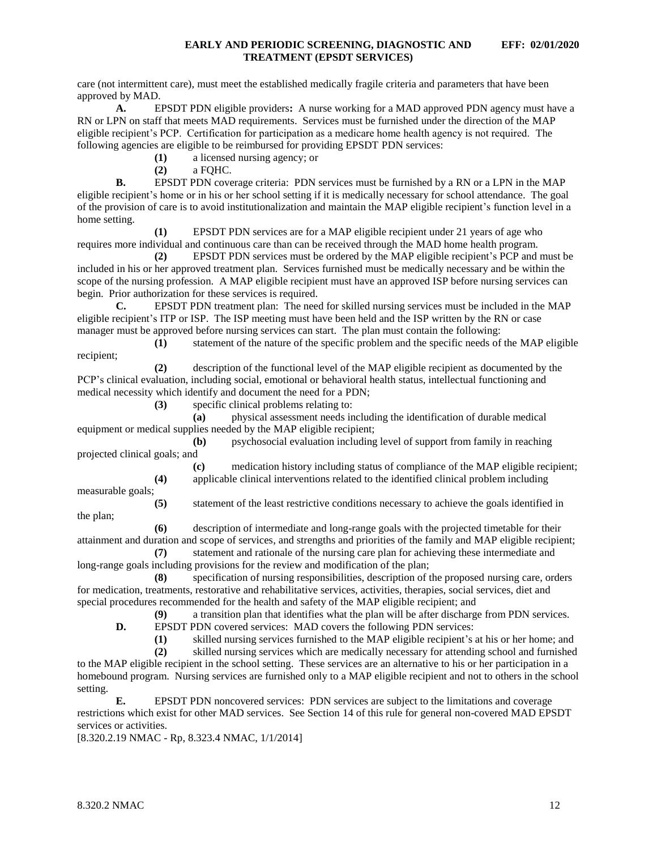<span id="page-12-0"></span>care (not intermittent care), must meet the established medically fragile criteria and parameters that have been approved by MAD.

**A.** EPSDT PDN eligible providers**:** A nurse working for a MAD approved PDN agency must have a RN or LPN on staff that meets MAD requirements. Services must be furnished under the direction of the MAP eligible recipient's PCP. Certification for participation as a medicare home health agency is not required. The following agencies are eligible to be reimbursed for providing EPSDT PDN services:

**(1)** a licensed nursing agency; or

**(2)** a FQHC.

**B.** EPSDT PDN coverage criteria: PDN services must be furnished by a RN or a LPN in the MAP eligible recipient's home or in his or her school setting if it is medically necessary for school attendance. The goal of the provision of care is to avoid institutionalization and maintain the MAP eligible recipient's function level in a home setting.

**(1)** EPSDT PDN services are for a MAP eligible recipient under 21 years of age who requires more individual and continuous care than can be received through the MAD home health program.

**(2)** EPSDT PDN services must be ordered by the MAP eligible recipient's PCP and must be included in his or her approved treatment plan. Services furnished must be medically necessary and be within the scope of the nursing profession. A MAP eligible recipient must have an approved ISP before nursing services can begin. Prior authorization for these services is required.

**C.** EPSDT PDN treatment plan: The need for skilled nursing services must be included in the MAP eligible recipient's ITP or ISP. The ISP meeting must have been held and the ISP written by the RN or case manager must be approved before nursing services can start. The plan must contain the following:

**(1)** statement of the nature of the specific problem and the specific needs of the MAP eligible recipient;

**(2)** description of the functional level of the MAP eligible recipient as documented by the PCP's clinical evaluation, including social, emotional or behavioral health status, intellectual functioning and medical necessity which identify and document the need for a PDN;

**(3)** specific clinical problems relating to:

**(a)** physical assessment needs including the identification of durable medical equipment or medical supplies needed by the MAP eligible recipient;

**(b)** psychosocial evaluation including level of support from family in reaching projected clinical goals; and

> **(c)** medication history including status of compliance of the MAP eligible recipient; **(4)** applicable clinical interventions related to the identified clinical problem including

measurable goals;

the plan;

**(5)** statement of the least restrictive conditions necessary to achieve the goals identified in

**(6)** description of intermediate and long-range goals with the projected timetable for their attainment and duration and scope of services, and strengths and priorities of the family and MAP eligible recipient;

**(7)** statement and rationale of the nursing care plan for achieving these intermediate and long-range goals including provisions for the review and modification of the plan;

**(8)** specification of nursing responsibilities, description of the proposed nursing care, orders for medication, treatments, restorative and rehabilitative services, activities, therapies, social services, diet and special procedures recommended for the health and safety of the MAP eligible recipient; and

**(9)** a transition plan that identifies what the plan will be after discharge from PDN services.

**D.** EPSDT PDN covered services: MAD covers the following PDN services:

**(1)** skilled nursing services furnished to the MAP eligible recipient's at his or her home; and

**(2)** skilled nursing services which are medically necessary for attending school and furnished to the MAP eligible recipient in the school setting. These services are an alternative to his or her participation in a

homebound program. Nursing services are furnished only to a MAP eligible recipient and not to others in the school setting.

**E.** EPSDT PDN noncovered services: PDN services are subject to the limitations and coverage restrictions which exist for other MAD services. See Section 14 of this rule for general non-covered MAD EPSDT services or activities.

[8.320.2.19 NMAC - Rp, 8.323.4 NMAC, 1/1/2014]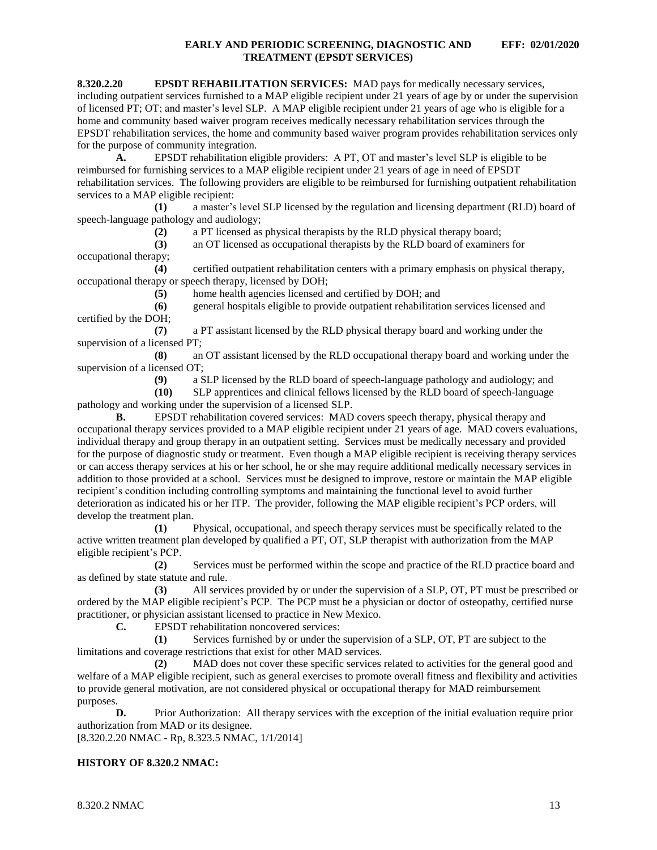**8.320.2.20 EPSDT REHABILITATION SERVICES:** MAD pays for medically necessary services, including outpatient services furnished to a MAP eligible recipient under 21 years of age by or under the supervision of licensed PT; OT; and master's level SLP. A MAP eligible recipient under 21 years of age who is eligible for a home and community based waiver program receives medically necessary rehabilitation services through the EPSDT rehabilitation services, the home and community based waiver program provides rehabilitation services only for the purpose of community integration.

**A.** EPSDT rehabilitation eligible providers: A PT, OT and master's level SLP is eligible to be reimbursed for furnishing services to a MAP eligible recipient under 21 years of age in need of EPSDT rehabilitation services. The following providers are eligible to be reimbursed for furnishing outpatient rehabilitation services to a MAP eligible recipient:

**(1)** a master's level SLP licensed by the regulation and licensing department (RLD) board of speech-language pathology and audiology;

**(2)** a PT licensed as physical therapists by the RLD physical therapy board;

**(3)** an OT licensed as occupational therapists by the RLD board of examiners for occupational therapy;

**(4)** certified outpatient rehabilitation centers with a primary emphasis on physical therapy, occupational therapy or speech therapy, licensed by DOH;

**(5)** home health agencies licensed and certified by DOH; and

**(6)** general hospitals eligible to provide outpatient rehabilitation services licensed and certified by the DOH;

**(7)** a PT assistant licensed by the RLD physical therapy board and working under the supervision of a licensed PT;

**(8)** an OT assistant licensed by the RLD occupational therapy board and working under the supervision of a licensed OT;

**(9)** a SLP licensed by the RLD board of speech-language pathology and audiology; and

**(10)** SLP apprentices and clinical fellows licensed by the RLD board of speech-language pathology and working under the supervision of a licensed SLP.

**B.** EPSDT rehabilitation covered services: MAD covers speech therapy, physical therapy and occupational therapy services provided to a MAP eligible recipient under 21 years of age. MAD covers evaluations, individual therapy and group therapy in an outpatient setting. Services must be medically necessary and provided for the purpose of diagnostic study or treatment. Even though a MAP eligible recipient is receiving therapy services or can access therapy services at his or her school, he or she may require additional medically necessary services in addition to those provided at a school. Services must be designed to improve, restore or maintain the MAP eligible recipient's condition including controlling symptoms and maintaining the functional level to avoid further deterioration as indicated his or her ITP. The provider, following the MAP eligible recipient's PCP orders, will develop the treatment plan.

**(1)** Physical, occupational, and speech therapy services must be specifically related to the active written treatment plan developed by qualified a PT, OT, SLP therapist with authorization from the MAP eligible recipient's PCP.

**(2)** Services must be performed within the scope and practice of the RLD practice board and as defined by state statute and rule.

**(3)** All services provided by or under the supervision of a SLP, OT, PT must be prescribed or ordered by the MAP eligible recipient's PCP. The PCP must be a physician or doctor of osteopathy, certified nurse practitioner, or physician assistant licensed to practice in New Mexico.

**C.** EPSDT rehabilitation noncovered services:

**(1)** Services furnished by or under the supervision of a SLP, OT, PT are subject to the limitations and coverage restrictions that exist for other MAD services.

**(2)** MAD does not cover these specific services related to activities for the general good and welfare of a MAP eligible recipient, such as general exercises to promote overall fitness and flexibility and activities to provide general motivation, are not considered physical or occupational therapy for MAD reimbursement purposes.

**D.** Prior Authorization: All therapy services with the exception of the initial evaluation require prior authorization from MAD or its designee.

[8.320.2.20 NMAC - Rp, 8.323.5 NMAC, 1/1/2014]

### **HISTORY OF 8.320.2 NMAC:**